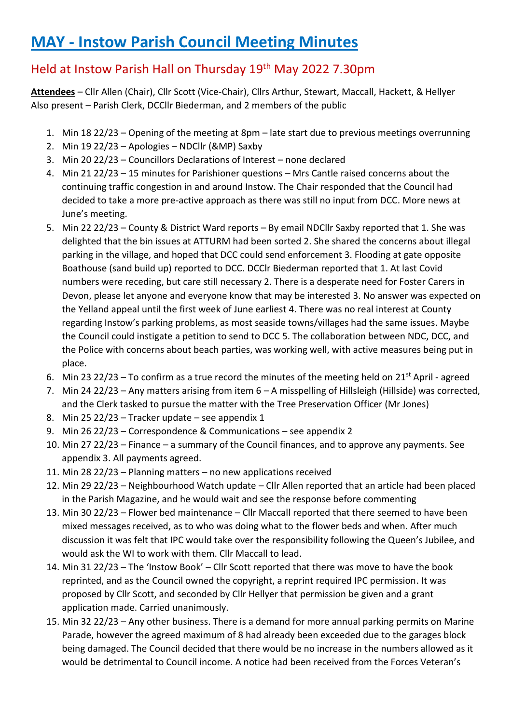# **MAY - Instow Parish Council Meeting Minutes**

# Held at Instow Parish Hall on Thursday 19th May 2022 7.30pm

**Attendees** – Cllr Allen (Chair), Cllr Scott (Vice-Chair), Cllrs Arthur, Stewart, Maccall, Hackett, & Hellyer Also present – Parish Clerk, DCCllr Biederman, and 2 members of the public

- 1. Min 18 22/23 Opening of the meeting at 8pm late start due to previous meetings overrunning
- 2. Min 19 22/23 Apologies NDCllr (&MP) Saxby
- 3. Min 20 22/23 Councillors Declarations of Interest none declared
- 4. Min 21 22/23 15 minutes for Parishioner questions Mrs Cantle raised concerns about the continuing traffic congestion in and around Instow. The Chair responded that the Council had decided to take a more pre-active approach as there was still no input from DCC. More news at June's meeting.
- 5. Min 22 22/23 County & District Ward reports By email NDCllr Saxby reported that 1. She was delighted that the bin issues at ATTURM had been sorted 2. She shared the concerns about illegal parking in the village, and hoped that DCC could send enforcement 3. Flooding at gate opposite Boathouse (sand build up) reported to DCC. DCClr Biederman reported that 1. At last Covid numbers were receding, but care still necessary 2. There is a desperate need for Foster Carers in Devon, please let anyone and everyone know that may be interested 3. No answer was expected on the Yelland appeal until the first week of June earliest 4. There was no real interest at County regarding Instow's parking problems, as most seaside towns/villages had the same issues. Maybe the Council could instigate a petition to send to DCC 5. The collaboration between NDC, DCC, and the Police with concerns about beach parties, was working well, with active measures being put in place.
- 6. Min 23 22/23 To confirm as a true record the minutes of the meeting held on 21<sup>st</sup> April agreed
- 7. Min 24 22/23 Any matters arising from item 6 A misspelling of Hillsleigh (Hillside) was corrected, and the Clerk tasked to pursue the matter with the Tree Preservation Officer (Mr Jones)
- 8. Min 25 22/23 Tracker update see appendix 1
- 9. Min 26 22/23 Correspondence & Communications see appendix 2
- 10. Min 27 22/23 Finance a summary of the Council finances, and to approve any payments. See appendix 3. All payments agreed.
- 11. Min 28 22/23 Planning matters no new applications received
- 12. Min 29 22/23 Neighbourhood Watch update Cllr Allen reported that an article had been placed in the Parish Magazine, and he would wait and see the response before commenting
- 13. Min 30 22/23 Flower bed maintenance Cllr Maccall reported that there seemed to have been mixed messages received, as to who was doing what to the flower beds and when. After much discussion it was felt that IPC would take over the responsibility following the Queen's Jubilee, and would ask the WI to work with them. Cllr Maccall to lead.
- 14. Min 31 22/23 The 'Instow Book' Cllr Scott reported that there was move to have the book reprinted, and as the Council owned the copyright, a reprint required IPC permission. It was proposed by Cllr Scott, and seconded by Cllr Hellyer that permission be given and a grant application made. Carried unanimously.
- 15. Min 32 22/23 Any other business. There is a demand for more annual parking permits on Marine Parade, however the agreed maximum of 8 had already been exceeded due to the garages block being damaged. The Council decided that there would be no increase in the numbers allowed as it would be detrimental to Council income. A notice had been received from the Forces Veteran's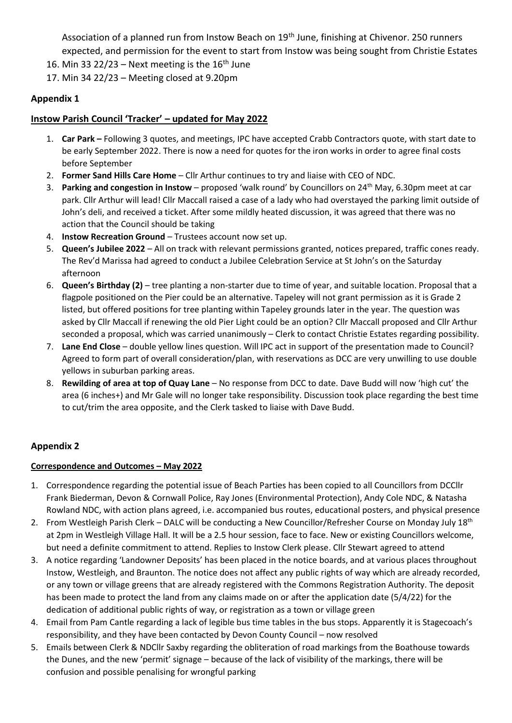Association of a planned run from Instow Beach on 19<sup>th</sup> June, finishing at Chivenor. 250 runners expected, and permission for the event to start from Instow was being sought from Christie Estates

- 16. Min 33 22/23 Next meeting is the  $16<sup>th</sup>$  June
- 17. Min 34 22/23 Meeting closed at 9.20pm

#### **Appendix 1**

#### **Instow Parish Council 'Tracker' – updated for May 2022**

- 1. **Car Park –** Following 3 quotes, and meetings, IPC have accepted Crabb Contractors quote, with start date to be early September 2022. There is now a need for quotes for the iron works in order to agree final costs before September
- 2. **Former Sand Hills Care Home** Cllr Arthur continues to try and liaise with CEO of NDC.
- 3. **Parking and congestion in Instow**  proposed 'walk round' by Councillors on 24th May, 6.30pm meet at car park. Cllr Arthur will lead! Cllr Maccall raised a case of a lady who had overstayed the parking limit outside of John's deli, and received a ticket. After some mildly heated discussion, it was agreed that there was no action that the Council should be taking
- 4. **Instow Recreation Ground**  Trustees account now set up.
- 5. **Queen's Jubilee 2022** All on track with relevant permissions granted, notices prepared, traffic cones ready. The Rev'd Marissa had agreed to conduct a Jubilee Celebration Service at St John's on the Saturday afternoon
- 6. **Queen's Birthday (2)** tree planting a non-starter due to time of year, and suitable location. Proposal that a flagpole positioned on the Pier could be an alternative. Tapeley will not grant permission as it is Grade 2 listed, but offered positions for tree planting within Tapeley grounds later in the year. The question was asked by Cllr Maccall if renewing the old Pier Light could be an option? Cllr Maccall proposed and Cllr Arthur seconded a proposal, which was carried unanimously – Clerk to contact Christie Estates regarding possibility.
- 7. **Lane End Close**  double yellow lines question. Will IPC act in support of the presentation made to Council? Agreed to form part of overall consideration/plan, with reservations as DCC are very unwilling to use double yellows in suburban parking areas.
- 8. **Rewilding of area at top of Quay Lane**  No response from DCC to date. Dave Budd will now 'high cut' the area (6 inches+) and Mr Gale will no longer take responsibility. Discussion took place regarding the best time to cut/trim the area opposite, and the Clerk tasked to liaise with Dave Budd.

### **Appendix 2**

#### **Correspondence and Outcomes – May 2022**

- 1. Correspondence regarding the potential issue of Beach Parties has been copied to all Councillors from DCCllr Frank Biederman, Devon & Cornwall Police, Ray Jones (Environmental Protection), Andy Cole NDC, & Natasha Rowland NDC, with action plans agreed, i.e. accompanied bus routes, educational posters, and physical presence
- 2. From Westleigh Parish Clerk DALC will be conducting a New Councillor/Refresher Course on Monday July 18<sup>th</sup> at 2pm in Westleigh Village Hall. It will be a 2.5 hour session, face to face. New or existing Councillors welcome, but need a definite commitment to attend. Replies to Instow Clerk please. Cllr Stewart agreed to attend
- 3. A notice regarding 'Landowner Deposits' has been placed in the notice boards, and at various places throughout Instow, Westleigh, and Braunton. The notice does not affect any public rights of way which are already recorded, or any town or village greens that are already registered with the Commons Registration Authority. The deposit has been made to protect the land from any claims made on or after the application date (5/4/22) for the dedication of additional public rights of way, or registration as a town or village green
- 4. Email from Pam Cantle regarding a lack of legible bus time tables in the bus stops. Apparently it is Stagecoach's responsibility, and they have been contacted by Devon County Council – now resolved
- 5. Emails between Clerk & NDCllr Saxby regarding the obliteration of road markings from the Boathouse towards the Dunes, and the new 'permit' signage – because of the lack of visibility of the markings, there will be confusion and possible penalising for wrongful parking